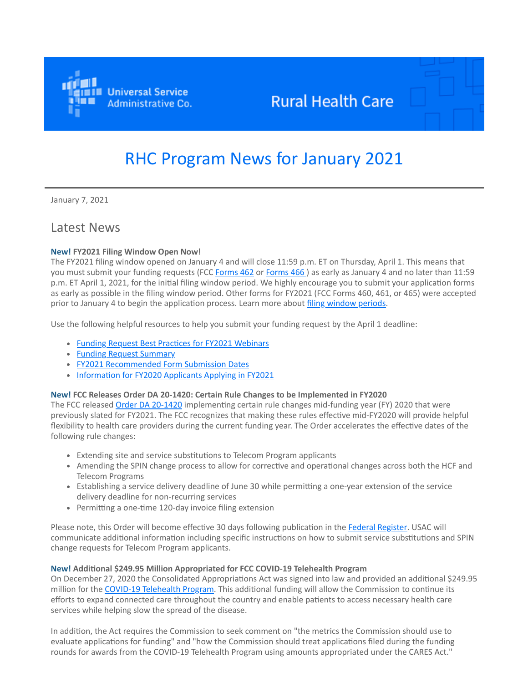

## **Rural Health Care**

# RHC Program News for January 2021

January 7, 2021

### Latest News

#### **New! FY2021 Filing Window Open Now!**

The FY2021 filing window opened on January 4 and will close 11:59 p.m. ET on Thursday, April 1. This means that you must submit your funding requests (FCC [Forms 462](https://click.outreach.usac.org/?qs=78568f9a7a8bf839cf2272fc6fe28aa09b46a78d8b0436db6d008dd549301215382b88bda2580b5e2727d185fabe584a28dcf1969dad7e91) or [Forms 466](https://click.outreach.usac.org/?qs=78568f9a7a8bf839e8ebed3047a6534ded5f3f8759a42c5d320cdab825fd750a9dbf07a171742e109ad9ca2fa293a4a6b350d13a2aa3d086)) as early as January 4 and no later than 11:59 p.m. ET April 1, 2021, for the initial filing window period. We highly encourage you to submit your application forms as early as possible in the filing window period. Other forms for FY2021 (FCC Forms 460, 461, or 465) were accepted prior to January 4 to begin the application process. Learn more about [filing window periods.](https://click.outreach.usac.org/?qs=78568f9a7a8bf83936e8104b3c952485ae2d189b3818a2a8734a3507874abde760ea2f198f4afa5198c3a0cead7459b06aba376b1ab13dd1)

Use the following helpful resources to help you submit your funding request by the April 1 deadline:

- [Funding Request Best Practices for FY2021 Webinars](https://click.outreach.usac.org/?qs=78568f9a7a8bf839c9df6bbe8b3741d75883b61647d878b681ee8af3d9fcbe9359cc7c9760cff024faf9ca23530de842cfa17ec06f2d6543)
- [Funding Request Summary](https://click.outreach.usac.org/?qs=78568f9a7a8bf839b7986318d62e857fa5db9a491c4fbdbe46296479316b7bea75d54f7745a855b559d631f4df40eb170693ddd82f780b2f)
- [FY2021 Recommended Form Submission Dates](https://click.outreach.usac.org/?qs=78568f9a7a8bf839889f4227695420b1cba7f5b7032ed73bca006535de11c0b1bc55f9887e8dd8d0a1ce9e9415fee229033bba2d89db8fec)
- [Information for FY2020 Applicants Applying in FY2021](https://click.outreach.usac.org/?qs=78568f9a7a8bf839efe52af286ecdd01e76a1d6f5fe65de3a2e95dab2c9186a220d17843f5e65fef36936f51d3435a04c47317e669f4e6e0)

#### **New! FCC Releases Order DA 20-1420: Certain Rule Changes to be Implemented in FY2020**

The FCC released [Order DA 20-1420](https://click.outreach.usac.org/?qs=78568f9a7a8bf83906d9ad8d0935036bbb36cde878b3189a8f309f80f99e402eb2801ec6f711c9e720528d26fce01e35d484d46a7ac9deda) implementing certain rule changes mid-funding year (FY) 2020 that were previously slated for FY2021. The FCC recognizes that making these rules effective mid-FY2020 will provide helpful flexibility to health care providers during the current funding year. The Order accelerates the effective dates of the following rule changes:

- Extending site and service substitutions to Telecom Program applicants
- Amending the SPIN change process to allow for corrective and operational changes across both the HCF and Telecom Programs
- Establishing a service delivery deadline of June 30 while permitting a one-year extension of the service delivery deadline for non-recurring services
- Permitting a one-time 120-day invoice filing extension

Please note, this Order will become effective 30 days following publication in the [Federal Register](https://click.outreach.usac.org/?qs=78568f9a7a8bf839b7ab4d828b80e67abd46c6ca70fb5855e8a94c5fac101d73cbc75c44f6ec27296098da8feba25f0e7b6633531bf28630). USAC will communicate additional information including specific instructions on how to submit service substitutions and SPIN change requests for Telecom Program applicants.

#### **New! Additional \$249.95 Million Appropriated for FCC COVID-19 Telehealth Program**

On December 27, 2020 the Consolidated Appropriations Act was signed into law and provided an additional \$249.95 million for the [COVID-19 Telehealth Program](https://click.outreach.usac.org/?qs=78568f9a7a8bf839245fa711dbbd08c1faa8a38768cf687b7f36c5fbc9e8dfaa6740a4fbcb1a9a6aeb10a937cf66a58c2b03cbb820e8e86e). This additional funding will allow the Commission to continue its efforts to expand connected care throughout the country and enable patients to access necessary health care services while helping slow the spread of the disease.

In addition, the Act requires the Commission to seek comment on "the metrics the Commission should use to evaluate applications for funding" and "how the Commission should treat applications filed during the funding rounds for awards from the COVID-19 Telehealth Program using amounts appropriated under the CARES Act."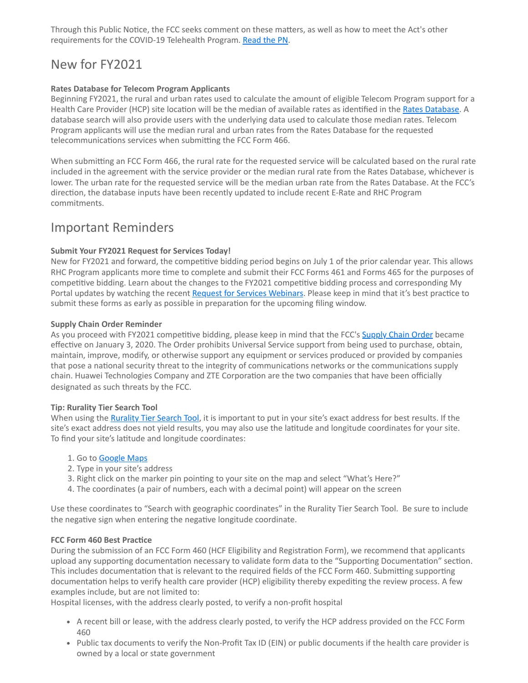Through this Public Notice, the FCC seeks comment on these matters, as well as how to meet the Act's other requirements for the COVID-19 Telehealth Program. [Read the PN](https://click.outreach.usac.org/?qs=78568f9a7a8bf839c9e3dbf46c2102ef56ddd7b6d03b8c59b70149a9b49900da77bcd1c1f81dbd5076effb6b502b14ea488a51ac551340fe).

## New for FY2021

#### **Rates Database for Telecom Program Applicants**

Beginning FY2021, the rural and urban rates used to calculate the amount of eligible Telecom Program support for a Health Care Provider (HCP) site location will be the median of available rates as identified in the [Rates Database.](https://click.outreach.usac.org/?qs=78568f9a7a8bf839a4c97ee97095332070b1e48293ac4424fb0af8764265a64eb3a57bfe46a94f57e1e5d41215900db5fbb8d9f60c23f583) A database search will also provide users with the underlying data used to calculate those median rates. Telecom Program applicants will use the median rural and urban rates from the Rates Database for the requested telecommunications services when submitting the FCC Form 466.

When submitting an FCC Form 466, the rural rate for the requested service will be calculated based on the rural rate included in the agreement with the service provider or the median rural rate from the Rates Database, whichever is lower. The urban rate for the requested service will be the median urban rate from the Rates Database. At the FCC's direction, the database inputs have been recently updated to include recent E-Rate and RHC Program commitments.

### Important Reminders

#### **Submit Your FY2021 Request for Services Today!**

New for FY2021 and forward, the competitive bidding period begins on July 1 of the prior calendar year. This allows RHC Program applicants more time to complete and submit their FCC Forms 461 and Forms 465 for the purposes of competitive bidding. Learn about the changes to the FY2021 competitive bidding process and corresponding My Portal updates by watching the recent [Request for Services Webinars.](https://click.outreach.usac.org/?qs=78568f9a7a8bf839af5d53c0dfdec20d41b5080840472901ba40b94de0edc7a142149c4f37f3ec61fa1d6b5d1d8b1029783e51aed0880d98) Please keep in mind that it's best practice to submit these forms as early as possible in preparation for the upcoming filing window.

#### **Supply Chain Order Reminder**

As you proceed with FY2021 competitive bidding, please keep in mind that the FCC's [Supply Chain Order](https://click.outreach.usac.org/?qs=78568f9a7a8bf839a66e15688e98782291e7b6089cb45044d53a453d539e4c8344cb50108a8170b92b4f0d83dfc7ef1fa9159a2bfb8f4b36) became effective on January 3, 2020. The Order prohibits Universal Service support from being used to purchase, obtain, maintain, improve, modify, or otherwise support any equipment or services produced or provided by companies that pose a national security threat to the integrity of communications networks or the communications supply chain. Huawei Technologies Company and ZTE Corporation are the two companies that have been officially designated as such threats by the FCC.

#### **Tip: Rurality Tier Search Tool**

When using the [Rurality Tier Search Tool,](https://click.outreach.usac.org/?qs=78568f9a7a8bf83991da6222e54ca025d771d1aa42cb90b3ff5cb52104b3fb0936104e26da6ba189aa2f93dc6f862252b6b0b0980af5d791) it is important to put in your site's exact address for best results. If the site's exact address does not yield results, you may also use the latitude and longitude coordinates for your site. To find your site's latitude and longitude coordinates:

- 1. Go to **Google Maps**
- 2. Type in your site's address
- 3. Right click on the marker pin pointing to your site on the map and select "What's Here?"
- 4. The coordinates (a pair of numbers, each with a decimal point) will appear on the screen

Use these coordinates to "Search with geographic coordinates" in the Rurality Tier Search Tool. Be sure to include the negative sign when entering the negative longitude coordinate.

#### **FCC Form 460 Best Practice**

During the submission of an FCC Form 460 (HCF Eligibility and Registration Form), we recommend that applicants upload any supporting documentation necessary to validate form data to the "Supporting Documentation" section. This includes documentation that is relevant to the required fields of the FCC Form 460. Submitting supporting documentation helps to verify health care provider (HCP) eligibility thereby expediting the review process. A few examples include, but are not limited to:

Hospital licenses, with the address clearly posted, to verify a non-profit hospital

- A recent bill or lease, with the address clearly posted, to verify the HCP address provided on the FCC Form 460
- Public tax documents to verify the Non-Profit Tax ID (EIN) or public documents if the health care provider is owned by a local or state government